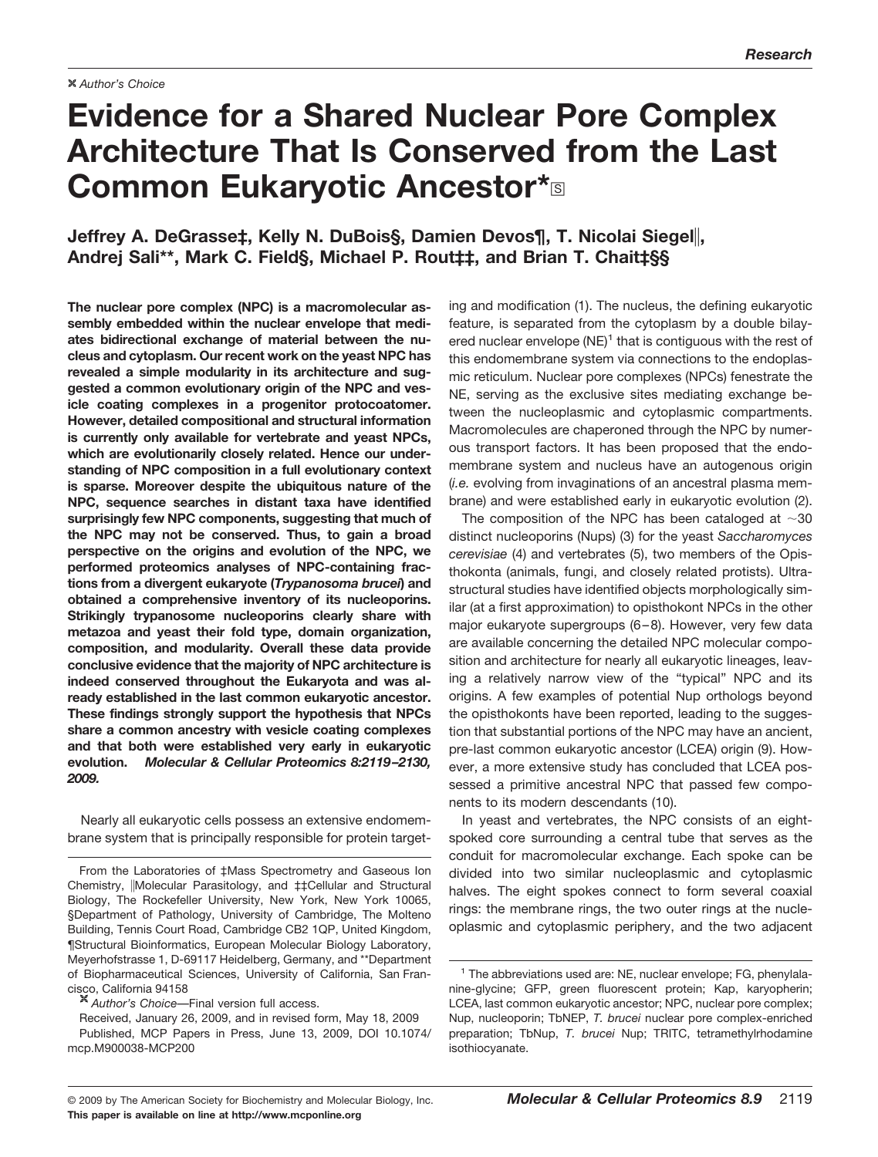# **Evidence for a Shared Nuclear Pore Complex Architecture That Is Conserved from the Last Common Eukaryotic Ancestor\***<sup>®</sup>

# **Jeffrey A. DeGrasse‡, Kelly N. DuBois§, Damien Devos¶, T. Nicolai Siegel, Andrej Sali\*\*, Mark C. Field§, Michael P. Rout‡‡, and Brian T. Chait‡§§**

**The nuclear pore complex (NPC) is a macromolecular assembly embedded within the nuclear envelope that mediates bidirectional exchange of material between the nucleus and cytoplasm. Our recent work on the yeast NPC has revealed a simple modularity in its architecture and suggested a common evolutionary origin of the NPC and vesicle coating complexes in a progenitor protocoatomer. However, detailed compositional and structural information is currently only available for vertebrate and yeast NPCs, which are evolutionarily closely related. Hence our understanding of NPC composition in a full evolutionary context is sparse. Moreover despite the ubiquitous nature of the NPC, sequence searches in distant taxa have identified surprisingly few NPC components, suggesting that much of the NPC may not be conserved. Thus, to gain a broad perspective on the origins and evolution of the NPC, we performed proteomics analyses of NPC-containing fractions from a divergent eukaryote (***Trypanosoma brucei***) and obtained a comprehensive inventory of its nucleoporins. Strikingly trypanosome nucleoporins clearly share with metazoa and yeast their fold type, domain organization, composition, and modularity. Overall these data provide conclusive evidence that the majority of NPC architecture is indeed conserved throughout the Eukaryota and was already established in the last common eukaryotic ancestor. These findings strongly support the hypothesis that NPCs share a common ancestry with vesicle coating complexes and that both were established very early in eukaryotic evolution.** *Molecular & Cellular Proteomics 8:2119 –2130, 2009.*

Nearly all eukaryotic cells possess an extensive endomembrane system that is principally responsible for protein target-

*Author's Choice*—Final version full access.

Received, January 26, 2009, and in revised form, May 18, 2009 Published, MCP Papers in Press, June 13, 2009, DOI 10.1074/ mcp.M900038-MCP200

ing and modification (1). The nucleus, the defining eukaryotic feature, is separated from the cytoplasm by a double bilayered nuclear envelope  $(NE)^1$  that is contiguous with the rest of this endomembrane system via connections to the endoplasmic reticulum. Nuclear pore complexes (NPCs) fenestrate the NE, serving as the exclusive sites mediating exchange between the nucleoplasmic and cytoplasmic compartments. Macromolecules are chaperoned through the NPC by numerous transport factors. It has been proposed that the endomembrane system and nucleus have an autogenous origin (*i.e.* evolving from invaginations of an ancestral plasma membrane) and were established early in eukaryotic evolution (2).

The composition of the NPC has been cataloged at  $\sim$ 30 distinct nucleoporins (Nups) (3) for the yeast *Saccharomyces cerevisiae* (4) and vertebrates (5), two members of the Opisthokonta (animals, fungi, and closely related protists). Ultrastructural studies have identified objects morphologically similar (at a first approximation) to opisthokont NPCs in the other major eukaryote supergroups (6–8). However, very few data are available concerning the detailed NPC molecular composition and architecture for nearly all eukaryotic lineages, leaving a relatively narrow view of the "typical" NPC and its origins. A few examples of potential Nup orthologs beyond the opisthokonts have been reported, leading to the suggestion that substantial portions of the NPC may have an ancient, pre-last common eukaryotic ancestor (LCEA) origin (9). However, a more extensive study has concluded that LCEA possessed a primitive ancestral NPC that passed few components to its modern descendants (10).

In yeast and vertebrates, the NPC consists of an eightspoked core surrounding a central tube that serves as the conduit for macromolecular exchange. Each spoke can be divided into two similar nucleoplasmic and cytoplasmic halves. The eight spokes connect to form several coaxial rings: the membrane rings, the two outer rings at the nucleoplasmic and cytoplasmic periphery, and the two adjacent

From the Laboratories of ‡Mass Spectrometry and Gaseous Ion Chemistry, Molecular Parasitology, and ‡‡Cellular and Structural Biology, The Rockefeller University, New York, New York 10065, §Department of Pathology, University of Cambridge, The Molteno Building, Tennis Court Road, Cambridge CB2 1QP, United Kingdom, ¶Structural Bioinformatics, European Molecular Biology Laboratory, Meyerhofstrasse 1, D-69117 Heidelberg, Germany, and \*\*Department of Biopharmaceutical Sciences, University of California, San Francisco, California 94158

<sup>&</sup>lt;sup>1</sup> The abbreviations used are: NE, nuclear envelope; FG, phenylalanine-glycine; GFP, green fluorescent protein; Kap, karyopherin; LCEA, last common eukaryotic ancestor; NPC, nuclear pore complex; Nup, nucleoporin; TbNEP, *T. brucei* nuclear pore complex-enriched preparation; TbNup, *T. brucei* Nup; TRITC, tetramethylrhodamine isothiocyanate.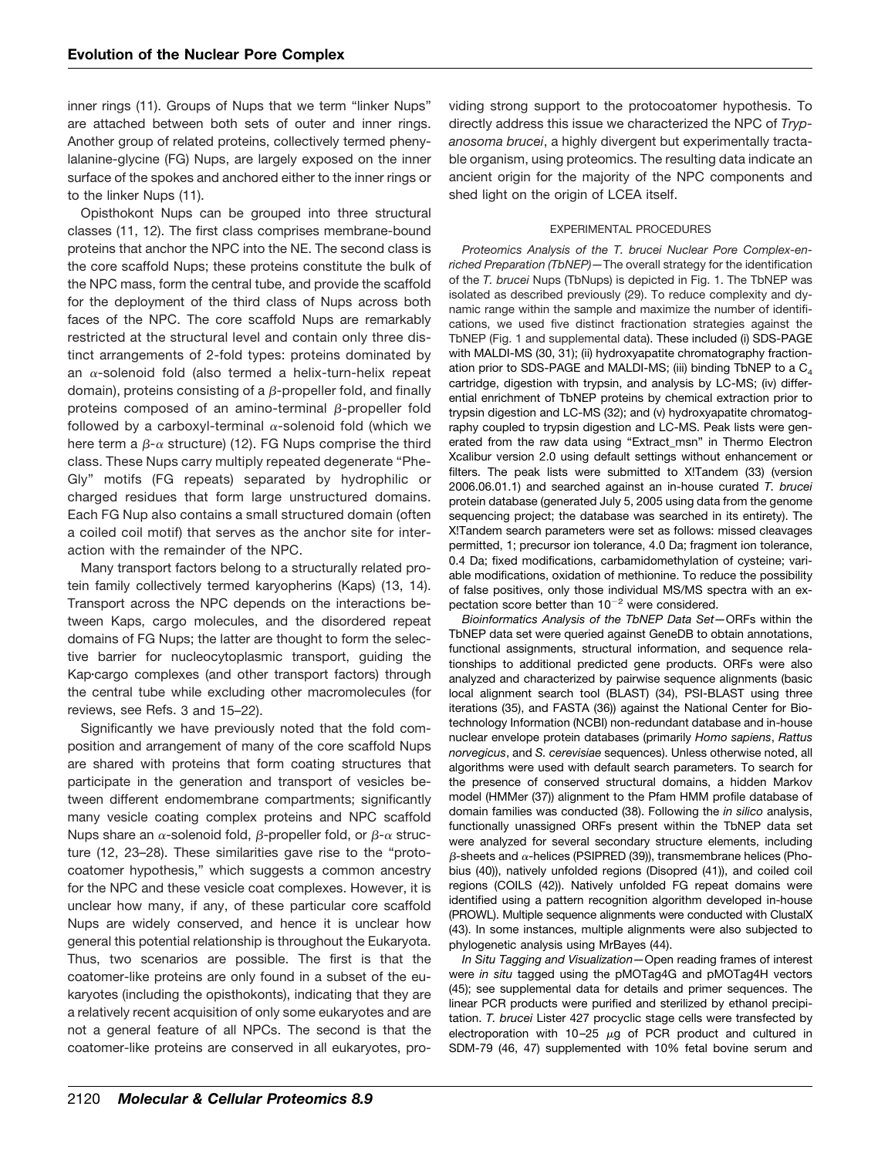inner rings (11). Groups of Nups that we term "linker Nups" are attached between both sets of outer and inner rings. Another group of related proteins, collectively termed phenylalanine-glycine (FG) Nups, are largely exposed on the inner surface of the spokes and anchored either to the inner rings or to the linker Nups (11).

Opisthokont Nups can be grouped into three structural classes (11, 12). The first class comprises membrane-bound proteins that anchor the NPC into the NE. The second class is the core scaffold Nups; these proteins constitute the bulk of the NPC mass, form the central tube, and provide the scaffold for the deployment of the third class of Nups across both faces of the NPC. The core scaffold Nups are remarkably restricted at the structural level and contain only three distinct arrangements of 2-fold types: proteins dominated by an  $\alpha$ -solenoid fold (also termed a helix-turn-helix repeat domain), proteins consisting of a  $\beta$ -propeller fold, and finally proteins composed of an amino-terminal  $\beta$ -propeller fold followed by a carboxyl-terminal  $\alpha$ -solenoid fold (which we here term a  $\beta$ - $\alpha$  structure) (12). FG Nups comprise the third class. These Nups carry multiply repeated degenerate "Phe-Gly" motifs (FG repeats) separated by hydrophilic or charged residues that form large unstructured domains. Each FG Nup also contains a small structured domain (often a coiled coil motif) that serves as the anchor site for interaction with the remainder of the NPC.

Many transport factors belong to a structurally related protein family collectively termed karyopherins (Kaps) (13, 14). Transport across the NPC depends on the interactions between Kaps, cargo molecules, and the disordered repeat domains of FG Nups; the latter are thought to form the selective barrier for nucleocytoplasmic transport, guiding the Kap-cargo complexes (and other transport factors) through the central tube while excluding other macromolecules (for reviews, see Refs. 3 and 15–22).

Significantly we have previously noted that the fold composition and arrangement of many of the core scaffold Nups are shared with proteins that form coating structures that participate in the generation and transport of vesicles between different endomembrane compartments; significantly many vesicle coating complex proteins and NPC scaffold Nups share an  $\alpha$ -solenoid fold,  $\beta$ -propeller fold, or  $\beta$ - $\alpha$  structure (12, 23–28). These similarities gave rise to the "protocoatomer hypothesis," which suggests a common ancestry for the NPC and these vesicle coat complexes. However, it is unclear how many, if any, of these particular core scaffold Nups are widely conserved, and hence it is unclear how general this potential relationship is throughout the Eukaryota. Thus, two scenarios are possible. The first is that the coatomer-like proteins are only found in a subset of the eukaryotes (including the opisthokonts), indicating that they are a relatively recent acquisition of only some eukaryotes and are not a general feature of all NPCs. The second is that the coatomer-like proteins are conserved in all eukaryotes, providing strong support to the protocoatomer hypothesis. To directly address this issue we characterized the NPC of *Trypanosoma brucei*, a highly divergent but experimentally tractable organism, using proteomics. The resulting data indicate an ancient origin for the majority of the NPC components and shed light on the origin of LCEA itself.

### EXPERIMENTAL PROCEDURES

*Proteomics Analysis of the T. brucei Nuclear Pore Complex-enriched Preparation (TbNEP)—*The overall strategy for the identification of the *T. brucei* Nups (TbNups) is depicted in Fig. 1. The TbNEP was isolated as described previously (29). To reduce complexity and dynamic range within the sample and maximize the number of identifications, we used five distinct fractionation strategies against the TbNEP (Fig. 1 and [supplemental data\)](http://www.mcponline.org/cgi/content/full/M900038-MCP200/DC1). These included (i) SDS-PAGE with MALDI-MS (30, 31); (ii) hydroxyapatite chromatography fractionation prior to SDS-PAGE and MALDI-MS; (iii) binding TbNEP to a  $C_4$ cartridge, digestion with trypsin, and analysis by LC-MS; (iv) differential enrichment of TbNEP proteins by chemical extraction prior to trypsin digestion and LC-MS (32); and (v) hydroxyapatite chromatography coupled to trypsin digestion and LC-MS. Peak lists were generated from the raw data using "Extract\_msn" in Thermo Electron Xcalibur version 2.0 using default settings without enhancement or filters. The peak lists were submitted to X!Tandem (33) (version 2006.06.01.1) and searched against an in-house curated *T. brucei* protein database (generated July 5, 2005 using data from the genome sequencing project; the database was searched in its entirety). The X!Tandem search parameters were set as follows: missed cleavages permitted, 1; precursor ion tolerance, 4.0 Da; fragment ion tolerance, 0.4 Da; fixed modifications, carbamidomethylation of cysteine; variable modifications, oxidation of methionine. To reduce the possibility of false positives, only those individual MS/MS spectra with an expectation score better than  $10^{-2}$  were considered.

*Bioinformatics Analysis of the TbNEP Data Set—*ORFs within the TbNEP data set were queried against GeneDB to obtain annotations, functional assignments, structural information, and sequence relationships to additional predicted gene products. ORFs were also analyzed and characterized by pairwise sequence alignments (basic local alignment search tool (BLAST) (34), PSI-BLAST using three iterations (35), and FASTA (36)) against the National Center for Biotechnology Information (NCBI) non-redundant database and in-house nuclear envelope protein databases (primarily *Homo sapiens*, *Rattus norvegicus*, and *S. cerevisiae* sequences). Unless otherwise noted, all algorithms were used with default search parameters. To search for the presence of conserved structural domains, a hidden Markov model (HMMer (37)) alignment to the Pfam HMM profile database of domain families was conducted (38). Following the *in silico* analysis, functionally unassigned ORFs present within the TbNEP data set were analyzed for several secondary structure elements, including  $\beta$ -sheets and  $\alpha$ -helices (PSIPRED (39)), transmembrane helices (Phobius (40)), natively unfolded regions (Disopred (41)), and coiled coil regions (COILS (42)). Natively unfolded FG repeat domains were identified using a pattern recognition algorithm developed in-house (PROWL). Multiple sequence alignments were conducted with ClustalX (43). In some instances, multiple alignments were also subjected to phylogenetic analysis using MrBayes (44).

*In Situ Tagging and Visualization—*Open reading frames of interest were *in situ* tagged using the pMOTag4G and pMOTag4H vectors (45); see [supplemental data](http://www.mcponline.org/cgi/content/full/M900038-MCP200/DC1) for details and primer sequences. The linear PCR products were purified and sterilized by ethanol precipitation. *T. brucei* Lister 427 procyclic stage cells were transfected by electroporation with 10-25  $\mu$ g of PCR product and cultured in SDM-79 (46, 47) supplemented with 10% fetal bovine serum and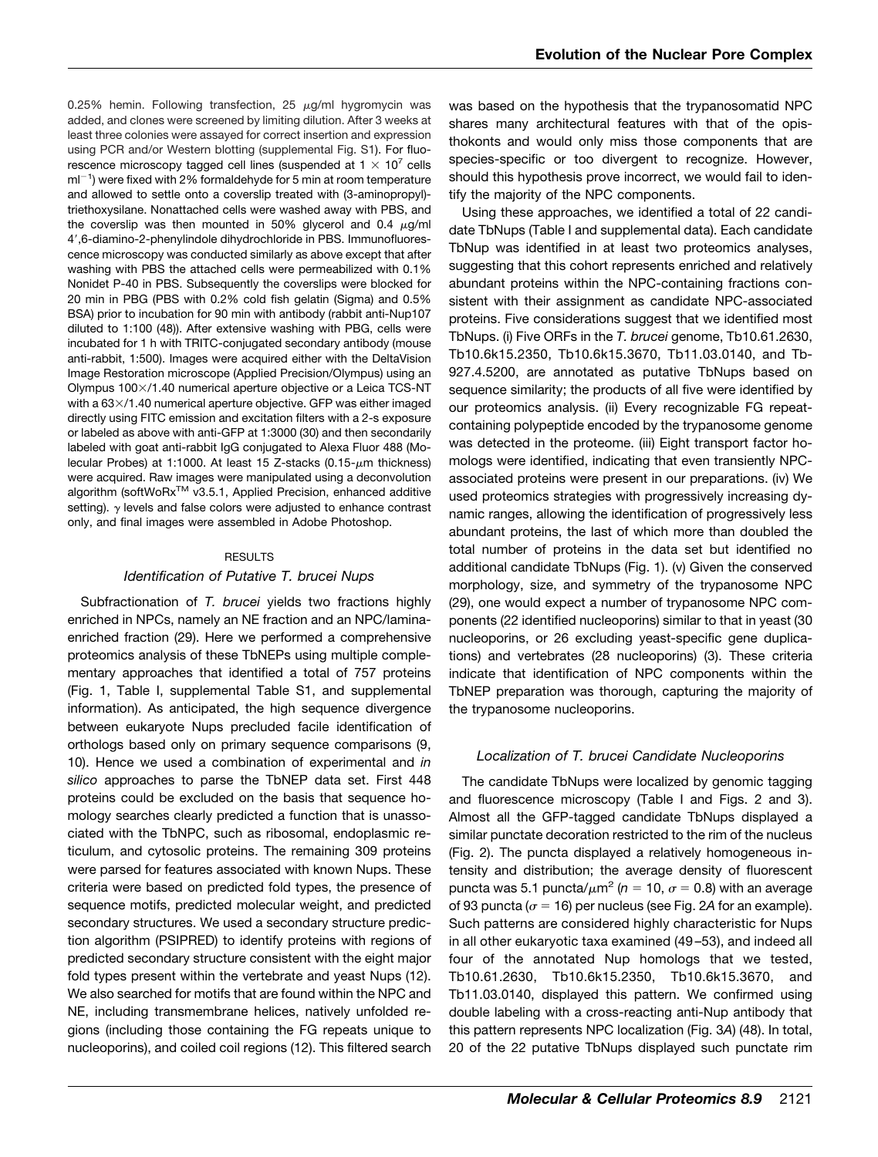0.25% hemin. Following transfection, 25  $\mu$ g/ml hygromycin was added, and clones were screened by limiting dilution. After 3 weeks at least three colonies were assayed for correct insertion and expression using PCR and/or Western blotting [\(supplemental Fig. S1\)](http://www.mcponline.org/cgi/content/full/M900038-MCP200/DC1). For fluorescence microscopy tagged cell lines (suspended at  $1 \times 10^7$  cells  $ml^{-1}$ ) were fixed with 2% formaldehyde for 5 min at room temperature and allowed to settle onto a coverslip treated with (3-aminopropyl) triethoxysilane. Nonattached cells were washed away with PBS, and the coverslip was then mounted in 50% glycerol and 0.4  $\mu$ g/ml 4,6-diamino-2-phenylindole dihydrochloride in PBS. Immunofluorescence microscopy was conducted similarly as above except that after washing with PBS the attached cells were permeabilized with 0.1% Nonidet P-40 in PBS. Subsequently the coverslips were blocked for 20 min in PBG (PBS with 0.2% cold fish gelatin (Sigma) and 0.5% BSA) prior to incubation for 90 min with antibody (rabbit anti-Nup107 diluted to 1:100 (48)). After extensive washing with PBG, cells were incubated for 1 h with TRITC-conjugated secondary antibody (mouse anti-rabbit, 1:500). Images were acquired either with the DeltaVision Image Restoration microscope (Applied Precision/Olympus) using an Olympus  $100\times/1.40$  numerical aperture objective or a Leica TCS-NT with a  $63\times/1.40$  numerical aperture objective. GFP was either imaged directly using FITC emission and excitation filters with a 2-s exposure or labeled as above with anti-GFP at 1:3000 (30) and then secondarily labeled with goat anti-rabbit IgG conjugated to Alexa Fluor 488 (Molecular Probes) at 1:1000. At least 15 Z-stacks  $(0.15-\mu m)$  thickness) were acquired. Raw images were manipulated using a deconvolution algorithm (softWoRx<sup>™</sup> v3.5.1, Applied Precision, enhanced additive setting).  $\gamma$  levels and false colors were adjusted to enhance contrast only, and final images were assembled in Adobe Photoshop.

# RESULTS

#### *Identification of Putative T. brucei Nups*

Subfractionation of *T. brucei* yields two fractions highly enriched in NPCs, namely an NE fraction and an NPC/laminaenriched fraction (29). Here we performed a comprehensive proteomics analysis of these TbNEPs using multiple complementary approaches that identified a total of 757 proteins (Fig. 1, Table I, [supplemental Table S1,](http://www.mcponline.org/cgi/content/full/M900038-MCP200/DC1) and [supplemental](http://www.mcponline.org/cgi/content/full/M900038-MCP200/DC1) [information\)](http://www.mcponline.org/cgi/content/full/M900038-MCP200/DC1). As anticipated, the high sequence divergence between eukaryote Nups precluded facile identification of orthologs based only on primary sequence comparisons (9, 10). Hence we used a combination of experimental and *in silico* approaches to parse the TbNEP data set. First 448 proteins could be excluded on the basis that sequence homology searches clearly predicted a function that is unassociated with the TbNPC, such as ribosomal, endoplasmic reticulum, and cytosolic proteins. The remaining 309 proteins were parsed for features associated with known Nups. These criteria were based on predicted fold types, the presence of sequence motifs, predicted molecular weight, and predicted secondary structures. We used a secondary structure prediction algorithm (PSIPRED) to identify proteins with regions of predicted secondary structure consistent with the eight major fold types present within the vertebrate and yeast Nups (12). We also searched for motifs that are found within the NPC and NE, including transmembrane helices, natively unfolded regions (including those containing the FG repeats unique to nucleoporins), and coiled coil regions (12). This filtered search

was based on the hypothesis that the trypanosomatid NPC shares many architectural features with that of the opisthokonts and would only miss those components that are species-specific or too divergent to recognize. However, should this hypothesis prove incorrect, we would fail to identify the majority of the NPC components.

Using these approaches, we identified a total of 22 candidate TbNups (Table I and [supplemental data\)](http://www.mcponline.org/cgi/content/full/M900038-MCP200/DC1). Each candidate TbNup was identified in at least two proteomics analyses, suggesting that this cohort represents enriched and relatively abundant proteins within the NPC-containing fractions consistent with their assignment as candidate NPC-associated proteins. Five considerations suggest that we identified most TbNups. (i) Five ORFs in the *T. brucei* genome, Tb10.61.2630, Tb10.6k15.2350, Tb10.6k15.3670, Tb11.03.0140, and Tb-927.4.5200, are annotated as putative TbNups based on sequence similarity; the products of all five were identified by our proteomics analysis. (ii) Every recognizable FG repeatcontaining polypeptide encoded by the trypanosome genome was detected in the proteome. (iii) Eight transport factor homologs were identified, indicating that even transiently NPCassociated proteins were present in our preparations. (iv) We used proteomics strategies with progressively increasing dynamic ranges, allowing the identification of progressively less abundant proteins, the last of which more than doubled the total number of proteins in the data set but identified no additional candidate TbNups (Fig. 1). (v) Given the conserved morphology, size, and symmetry of the trypanosome NPC (29), one would expect a number of trypanosome NPC components (22 identified nucleoporins) similar to that in yeast (30 nucleoporins, or 26 excluding yeast-specific gene duplications) and vertebrates (28 nucleoporins) (3). These criteria indicate that identification of NPC components within the TbNEP preparation was thorough, capturing the majority of the trypanosome nucleoporins.

#### *Localization of T. brucei Candidate Nucleoporins*

The candidate TbNups were localized by genomic tagging and fluorescence microscopy (Table I and Figs. 2 and 3). Almost all the GFP-tagged candidate TbNups displayed a similar punctate decoration restricted to the rim of the nucleus (Fig. 2). The puncta displayed a relatively homogeneous intensity and distribution; the average density of fluorescent puncta was 5.1 puncta/ $\mu$ m<sup>2</sup> ( $n = 10$ ,  $\sigma = 0.8$ ) with an average of 93 puncta ( $\sigma$  = 16) per nucleus (see Fig. 2A for an example). Such patterns are considered highly characteristic for Nups in all other eukaryotic taxa examined (49 –53), and indeed all four of the annotated Nup homologs that we tested, Tb10.61.2630, Tb10.6k15.2350, Tb10.6k15.3670, and Tb11.03.0140, displayed this pattern. We confirmed using double labeling with a cross-reacting anti-Nup antibody that this pattern represents NPC localization (Fig. 3*A*) (48). In total, 20 of the 22 putative TbNups displayed such punctate rim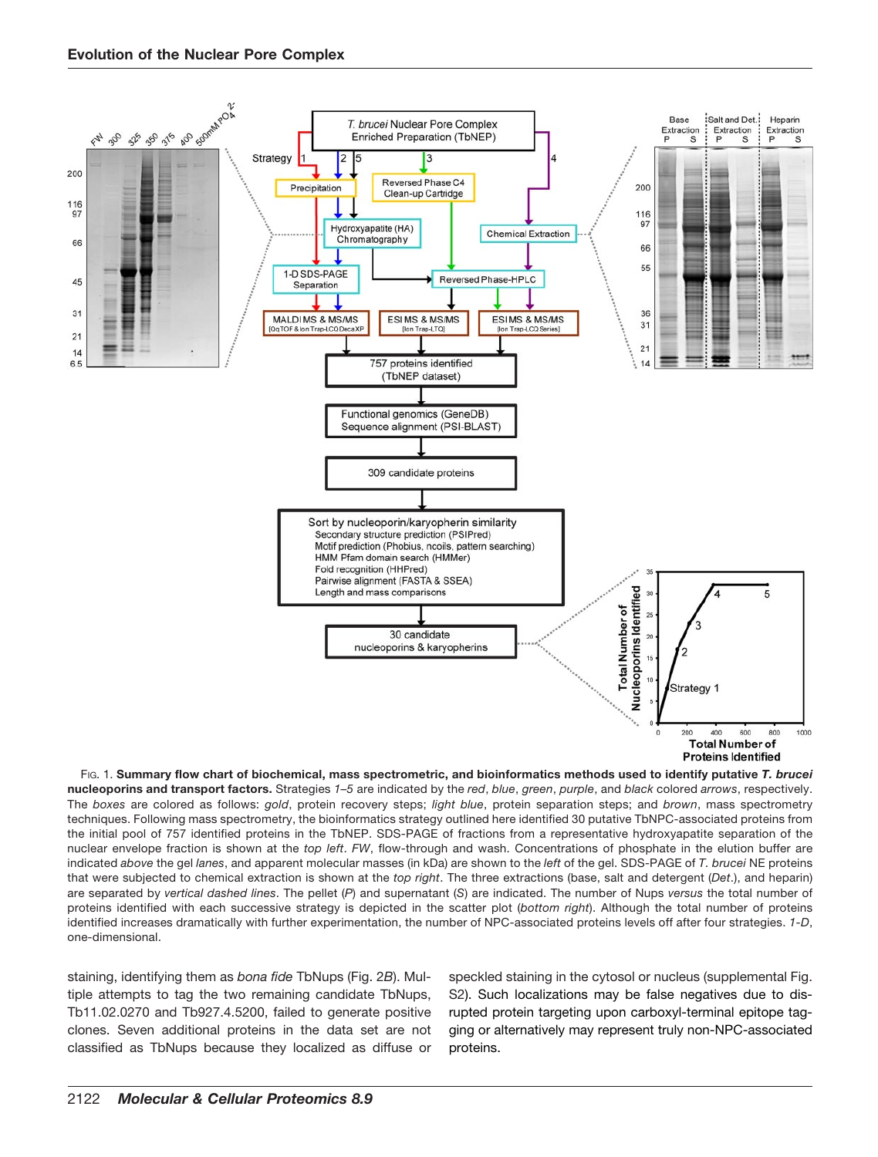

FIG. 1. **Summary flow chart of biochemical, mass spectrometric, and bioinformatics methods used to identify putative** *T. brucei* **nucleoporins and transport factors.** Strategies *1–5* are indicated by the *red*, *blue*, *green*, *purple*, and *black* colored *arrows*, respectively. The *boxes* are colored as follows: *gold*, protein recovery steps; *light blue*, protein separation steps; and *brown*, mass spectrometry techniques. Following mass spectrometry, the bioinformatics strategy outlined here identified 30 putative TbNPC-associated proteins from the initial pool of 757 identified proteins in the TbNEP. SDS-PAGE of fractions from a representative hydroxyapatite separation of the nuclear envelope fraction is shown at the *top left*. *FW*, flow-through and wash. Concentrations of phosphate in the elution buffer are indicated *above* the gel *lanes*, and apparent molecular masses (in kDa) are shown to the *left* of the gel. SDS-PAGE of *T. brucei* NE proteins that were subjected to chemical extraction is shown at the *top right*. The three extractions (base, salt and detergent (*Det*.), and heparin) are separated by *vertical dashed lines*. The pellet (*P*) and supernatant (*S*) are indicated. The number of Nups *versus* the total number of proteins identified with each successive strategy is depicted in the scatter plot (*bottom right*). Although the total number of proteins identified increases dramatically with further experimentation, the number of NPC-associated proteins levels off after four strategies. *1-D*, one-dimensional.

staining, identifying them as *bona fide* TbNups (Fig. 2*B*). Multiple attempts to tag the two remaining candidate TbNups, Tb11.02.0270 and Tb927.4.5200, failed to generate positive clones. Seven additional proteins in the data set are not classified as TbNups because they localized as diffuse or

speckled staining in the cytosol or nucleus [\(supplemental Fig.](http://www.mcponline.org/cgi/content/full/M900038-MCP200/DC1) [S2\)](http://www.mcponline.org/cgi/content/full/M900038-MCP200/DC1). Such localizations may be false negatives due to disrupted protein targeting upon carboxyl-terminal epitope tagging or alternatively may represent truly non-NPC-associated proteins.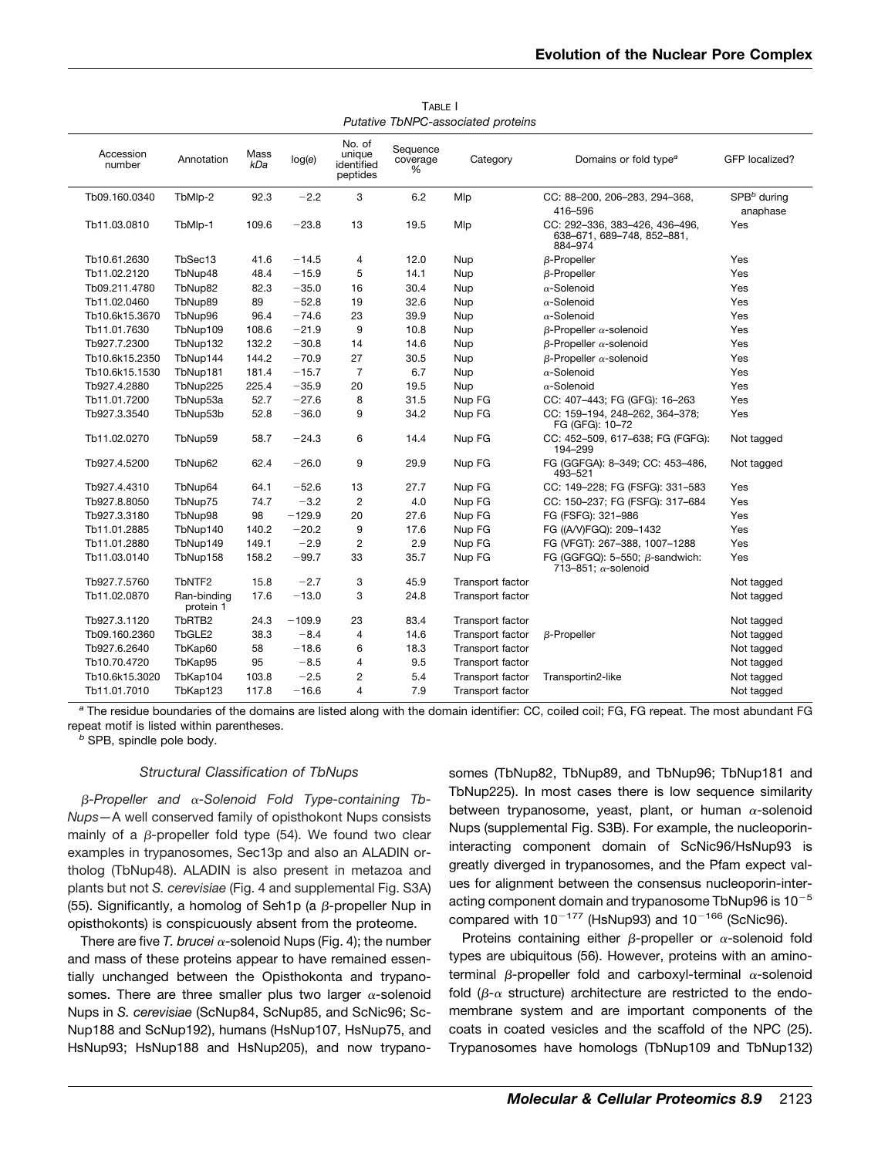TABLE I *Putative TbNPC-associated proteins*

| Accession<br>number | Annotation               | Mass<br>kDa | log(e)   | No. of<br>unique<br>identified<br>peptides | Sequence<br>coverage<br>% | Category         | Domains or fold type <sup>a</sup>                                       | GFP localized?                      |
|---------------------|--------------------------|-------------|----------|--------------------------------------------|---------------------------|------------------|-------------------------------------------------------------------------|-------------------------------------|
| Tb09.160.0340       | TbMlp-2                  | 92.3        | $-2.2$   | 3                                          | 6.2                       | Mlp              | CC: 88-200, 206-283, 294-368,<br>416-596                                | SPB <sup>b</sup> during<br>anaphase |
| Tb11.03.0810        | TbMlp-1                  | 109.6       | $-23.8$  | 13                                         | 19.5                      | Mlp              | CC: 292-336, 383-426, 436-496,<br>638–671.689–748.852–881.<br>884-974   | Yes                                 |
| Tb10.61.2630        | TbSec13                  | 41.6        | $-14.5$  | 4                                          | 12.0                      | <b>Nup</b>       | <b>B-Propeller</b>                                                      | Yes                                 |
| Tb11.02.2120        | TbNup48                  | 48.4        | $-15.9$  | 5                                          | 14.1                      | <b>Nup</b>       | $\beta$ -Propeller                                                      | Yes                                 |
| Tb09.211.4780       | TbNup82                  | 82.3        | $-35.0$  | 16                                         | 30.4                      | <b>Nup</b>       | $\alpha$ -Solenoid                                                      | Yes                                 |
| Tb11.02.0460        | TbNup89                  | 89          | $-52.8$  | 19                                         | 32.6                      | <b>Nup</b>       | $\alpha$ -Solenoid                                                      | Yes                                 |
| Tb10.6k15.3670      | TbNup96                  | 96.4        | $-74.6$  | 23                                         | 39.9                      | <b>Nup</b>       | $\alpha$ -Solenoid                                                      | Yes                                 |
| Tb11.01.7630        | TbNup109                 | 108.6       | $-21.9$  | 9                                          | 10.8                      | Nup              | $\beta$ -Propeller $\alpha$ -solenoid                                   | Yes                                 |
| Tb927.7.2300        | TbNup132                 | 132.2       | $-30.8$  | 14                                         | 14.6                      | <b>Nup</b>       | $\beta$ -Propeller $\alpha$ -solenoid                                   | Yes                                 |
| Tb10.6k15.2350      | TbNup144                 | 144.2       | $-70.9$  | 27                                         | 30.5                      | <b>Nup</b>       | $\beta$ -Propeller $\alpha$ -solenoid                                   | Yes                                 |
| Tb10.6k15.1530      | TbNup181                 | 181.4       | $-15.7$  | 7                                          | 6.7                       | Nup              | $\alpha$ -Solenoid                                                      | Yes                                 |
| Tb927.4.2880        | TbNup225                 | 225.4       | $-35.9$  | 20                                         | 19.5                      | <b>Nup</b>       | $\alpha$ -Solenoid                                                      | Yes                                 |
| Tb11.01.7200        | TbNup53a                 | 52.7        | $-27.6$  | 8                                          | 31.5                      | Nup FG           | CC: 407-443; FG (GFG): 16-263                                           | Yes                                 |
| Tb927.3.3540        | TbNup53b                 | 52.8        | $-36.0$  | 9                                          | 34.2                      | Nup FG           | CC: 159-194, 248-262, 364-378;<br>FG (GFG): 10-72                       | Yes                                 |
| Tb11.02.0270        | TbNup59                  | 58.7        | $-24.3$  | 6                                          | 14.4                      | Nup FG           | CC: 452-509, 617-638; FG (FGFG):<br>194-299                             | Not tagged                          |
| Tb927.4.5200        | TbNup62                  | 62.4        | $-26.0$  | 9                                          | 29.9                      | Nup FG           | FG (GGFGA): 8-349: CC: 453-486.<br>493-521                              | Not tagged                          |
| Tb927.4.4310        | TbNup64                  | 64.1        | $-52.6$  | 13                                         | 27.7                      | Nup FG           | CC: 149-228; FG (FSFG): 331-583                                         | Yes                                 |
| Tb927.8.8050        | TbNup75                  | 74.7        | $-3.2$   | 2                                          | 4.0                       | Nup FG           | CC: 150-237; FG (FSFG): 317-684                                         | Yes                                 |
| Tb927.3.3180        | TbNup98                  | 98          | $-129.9$ | 20                                         | 27.6                      | Nup FG           | FG (FSFG): 321-986                                                      | Yes                                 |
| Tb11.01.2885        | TbNup140                 | 140.2       | $-20.2$  | 9                                          | 17.6                      | Nup FG           | FG ((A/V)FGQ): 209-1432                                                 | Yes                                 |
| Tb11.01.2880        | TbNup149                 | 149.1       | $-2.9$   | $\overline{c}$                             | 2.9                       | Nup FG           | FG (VFGT): 267-388, 1007-1288                                           | Yes                                 |
| Tb11.03.0140        | TbNup158                 | 158.2       | $-99.7$  | 33                                         | 35.7                      | Nup FG           | FG (GGFGQ): $5-550$ ; $\beta$ -sandwich:<br>713-851; $\alpha$ -solenoid | Yes                                 |
| Tb927.7.5760        | TbNTF <sub>2</sub>       | 15.8        | $-2.7$   | 3                                          | 45.9                      | Transport factor |                                                                         | Not tagged                          |
| Tb11.02.0870        | Ran-binding<br>protein 1 | 17.6        | $-13.0$  | 3                                          | 24.8                      | Transport factor |                                                                         | Not tagged                          |
| Tb927.3.1120        | TbRTB <sub>2</sub>       | 24.3        | $-109.9$ | 23                                         | 83.4                      | Transport factor |                                                                         | Not tagged                          |
| Tb09.160.2360       | TbGLE2                   | 38.3        | $-8.4$   | 4                                          | 14.6                      | Transport factor | $\beta$ -Propeller                                                      | Not tagged                          |
| Tb927.6.2640        | TbKap60                  | 58          | $-18.6$  | 6                                          | 18.3                      | Transport factor |                                                                         | Not tagged                          |
| Tb10.70.4720        | TbKap95                  | 95          | $-8.5$   | $\overline{4}$                             | 9.5                       | Transport factor |                                                                         | Not tagged                          |
| Tb10.6k15.3020      | TbKap104                 | 103.8       | $-2.5$   | $\overline{2}$                             | 5.4                       | Transport factor | Transportin2-like                                                       | Not tagged                          |
| Tb11.01.7010        | TbKap123                 | 117.8       | $-16.6$  | $\overline{4}$                             | 7.9                       | Transport factor |                                                                         | Not tagged                          |

*<sup>a</sup>* The residue boundaries of the domains are listed along with the domain identifier: CC, coiled coil; FG, FG repeat. The most abundant FG repeat motif is listed within parentheses.

*<sup>b</sup>* SPB, spindle pole body.

# *Structural Classification of TbNups*

β-Propeller and α-Solenoid Fold Type-containing Tb-*Nups—*A well conserved family of opisthokont Nups consists mainly of a  $\beta$ -propeller fold type (54). We found two clear examples in trypanosomes, Sec13p and also an ALADIN ortholog (TbNup48). ALADIN is also present in metazoa and plants but not *S. cerevisiae* (Fig. 4 and [supplemental Fig. S3A\)](http://www.mcponline.org/cgi/content/full/M900038-MCP200/DC1) (55). Significantly, a homolog of Seh1p (a  $\beta$ -propeller Nup in opisthokonts) is conspicuously absent from the proteome.

There are five *T. brucei*  $\alpha$ -solenoid Nups (Fig. 4); the number and mass of these proteins appear to have remained essentially unchanged between the Opisthokonta and trypanosomes. There are three smaller plus two larger  $\alpha$ -solenoid Nups in *S. cerevisiae* (ScNup84, ScNup85, and ScNic96; Sc-Nup188 and ScNup192), humans (HsNup107, HsNup75, and HsNup93; HsNup188 and HsNup205), and now trypanosomes (TbNup82, TbNup89, and TbNup96; TbNup181 and TbNup225). In most cases there is low sequence similarity between trypanosome, yeast, plant, or human  $\alpha$ -solenoid Nups [\(supplemental Fig. S3B\)](http://www.mcponline.org/cgi/content/full/M900038-MCP200/DC1). For example, the nucleoporininteracting component domain of ScNic96/HsNup93 is greatly diverged in trypanosomes, and the Pfam expect values for alignment between the consensus nucleoporin-interacting component domain and trypanosome TbNup96 is 10 $^{-5}$ compared with  $10^{-177}$  (HsNup93) and  $10^{-166}$  (ScNic96).

Proteins containing either  $\beta$ -propeller or  $\alpha$ -solenoid fold types are ubiquitous (56). However, proteins with an aminoterminal  $\beta$ -propeller fold and carboxyl-terminal  $\alpha$ -solenoid fold ( $\beta$ - $\alpha$  structure) architecture are restricted to the endomembrane system and are important components of the coats in coated vesicles and the scaffold of the NPC (25). Trypanosomes have homologs (TbNup109 and TbNup132)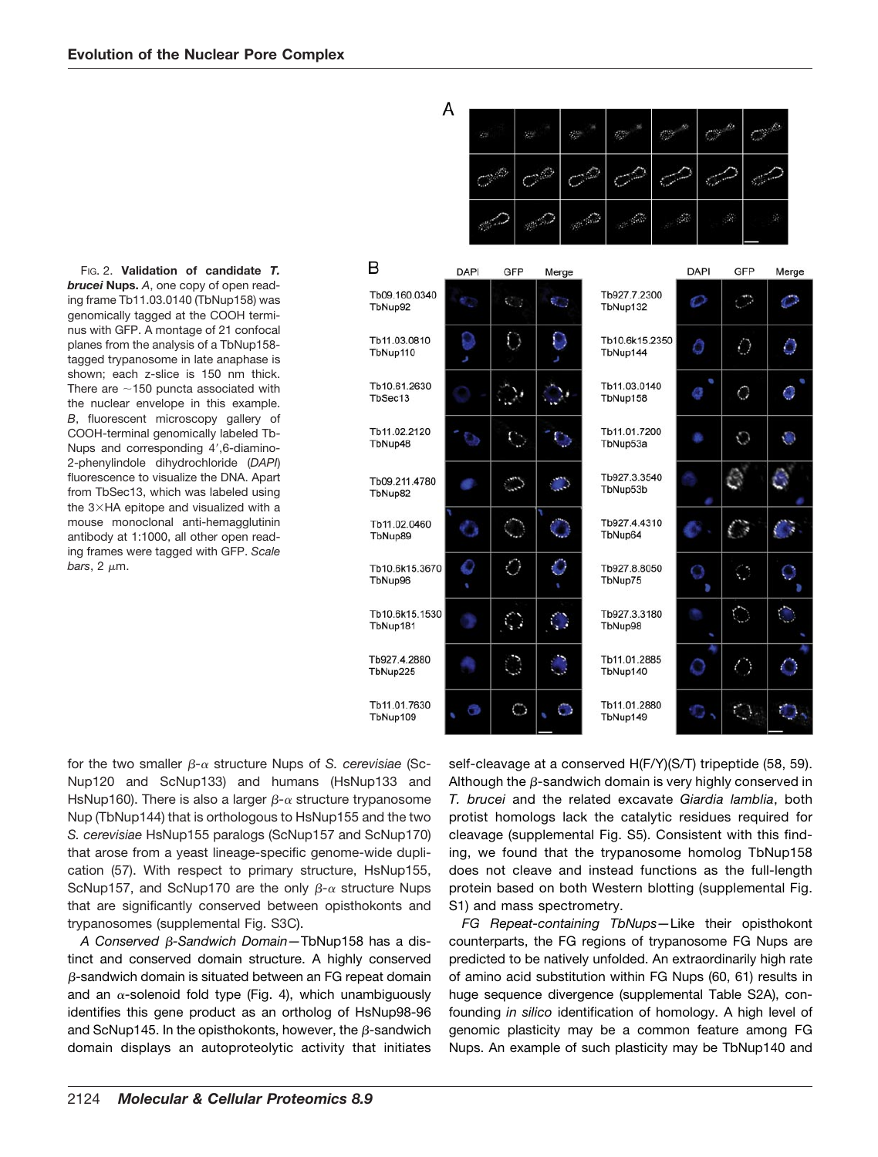FIG. 2. **Validation of candidate** *T. brucei* **Nups.** *A*, one copy of open reading frame Tb11.03.0140 (TbNup158) was genomically tagged at the COOH terminus with GFP. A montage of 21 confocal planes from the analysis of a TbNup158 tagged trypanosome in late anaphase is shown; each z-slice is 150 nm thick. There are  $\sim$ 150 puncta associated with the nuclear envelope in this example. *B*, fluorescent microscopy gallery of COOH-terminal genomically labeled Tb-Nups and corresponding 4'.6-diamino-2-phenylindole dihydrochloride (*DAPI*) fluorescence to visualize the DNA. Apart from TbSec13, which was labeled using the  $3\times$ HA epitope and visualized with a mouse monoclonal anti-hemagglutinin antibody at 1:1000, all other open reading frames were tagged with GFP. *Scale bars*,  $2 \mu m$ .



A

for the two smaller  $\beta$ - $\alpha$  structure Nups of *S. cerevisiae* (Sc-Nup120 and ScNup133) and humans (HsNup133 and HsNup160). There is also a larger  $\beta$ - $\alpha$  structure trypanosome Nup (TbNup144) that is orthologous to HsNup155 and the two *S. cerevisiae* HsNup155 paralogs (ScNup157 and ScNup170) that arose from a yeast lineage-specific genome-wide duplication (57). With respect to primary structure, HsNup155, ScNup157, and ScNup170 are the only  $\beta$ - $\alpha$  structure Nups that are significantly conserved between opisthokonts and trypanosomes [\(supplemental Fig. S3C\)](http://www.mcponline.org/cgi/content/full/M900038-MCP200/DC1).

A Conserved β-Sandwich Domain—TbNup158 has a distinct and conserved domain structure. A highly conserved  $\beta$ -sandwich domain is situated between an FG repeat domain and an  $\alpha$ -solenoid fold type (Fig. 4), which unambiguously identifies this gene product as an ortholog of HsNup98-96 and ScNup145. In the opisthokonts, however, the  $\beta$ -sandwich domain displays an autoproteolytic activity that initiates

self-cleavage at a conserved H(F/Y)(S/T) tripeptide (58, 59). Although the  $\beta$ -sandwich domain is very highly conserved in *T. brucei* and the related excavate *Giardia lamblia*, both protist homologs lack the catalytic residues required for cleavage [\(supplemental Fig. S5\)](http://www.mcponline.org/cgi/content/full/M900038-MCP200/DC1). Consistent with this finding, we found that the trypanosome homolog TbNup158 does not cleave and instead functions as the full-length protein based on both Western blotting [\(supplemental Fig.](http://www.mcponline.org/cgi/content/full/M900038-MCP200/DC1) [S1\)](http://www.mcponline.org/cgi/content/full/M900038-MCP200/DC1) and mass spectrometry.

*FG Repeat-containing TbNups—*Like their opisthokont counterparts, the FG regions of trypanosome FG Nups are predicted to be natively unfolded. An extraordinarily high rate of amino acid substitution within FG Nups (60, 61) results in huge sequence divergence [\(supplemental Table S2A\)](http://www.mcponline.org/cgi/content/full/M900038-MCP200/DC1), confounding *in silico* identification of homology. A high level of genomic plasticity may be a common feature among FG Nups. An example of such plasticity may be TbNup140 and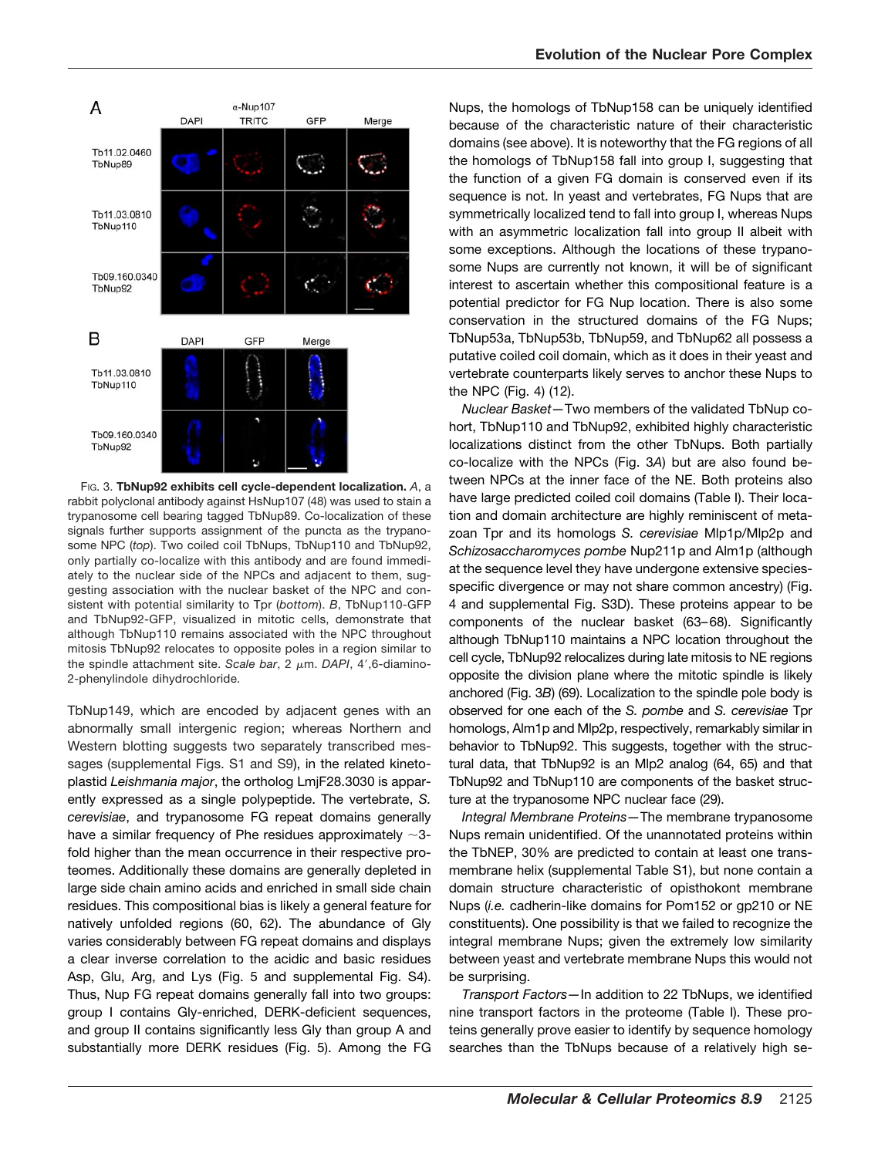

FIG. 3. **TbNup92 exhibits cell cycle-dependent localization.** *A*, a rabbit polyclonal antibody against HsNup107 (48) was used to stain a trypanosome cell bearing tagged TbNup89. Co-localization of these signals further supports assignment of the puncta as the trypanosome NPC (*top*). Two coiled coil TbNups, TbNup110 and TbNup92, only partially co-localize with this antibody and are found immediately to the nuclear side of the NPCs and adjacent to them, suggesting association with the nuclear basket of the NPC and consistent with potential similarity to Tpr (*bottom*). *B*, TbNup110-GFP and TbNup92-GFP, visualized in mitotic cells, demonstrate that although TbNup110 remains associated with the NPC throughout mitosis TbNup92 relocates to opposite poles in a region similar to the spindle attachment site. *Scale bar*,  $2 \mu m$ . *DAPI*,  $4'$ , 6-diamino-2-phenylindole dihydrochloride.

TbNup149, which are encoded by adjacent genes with an abnormally small intergenic region; whereas Northern and Western blotting suggests two separately transcribed messages [\(supplemental Figs. S1 and S9\)](http://www.mcponline.org/cgi/content/full/M900038-MCP200/DC1), in the related kinetoplastid *Leishmania major*, the ortholog LmjF28.3030 is apparently expressed as a single polypeptide. The vertebrate, *S. cerevisiae*, and trypanosome FG repeat domains generally have a similar frequency of Phe residues approximately  $\sim$ 3fold higher than the mean occurrence in their respective proteomes. Additionally these domains are generally depleted in large side chain amino acids and enriched in small side chain residues. This compositional bias is likely a general feature for natively unfolded regions (60, 62). The abundance of Gly varies considerably between FG repeat domains and displays a clear inverse correlation to the acidic and basic residues Asp, Glu, Arg, and Lys (Fig. 5 and [supplemental Fig. S4\)](http://www.mcponline.org/cgi/content/full/M900038-MCP200/DC1). Thus, Nup FG repeat domains generally fall into two groups: group I contains Gly-enriched, DERK-deficient sequences, and group II contains significantly less Gly than group A and substantially more DERK residues (Fig. 5). Among the FG

Nups, the homologs of TbNup158 can be uniquely identified because of the characteristic nature of their characteristic domains (see above). It is noteworthy that the FG regions of all the homologs of TbNup158 fall into group I, suggesting that the function of a given FG domain is conserved even if its sequence is not. In yeast and vertebrates, FG Nups that are symmetrically localized tend to fall into group I, whereas Nups with an asymmetric localization fall into group II albeit with some exceptions. Although the locations of these trypanosome Nups are currently not known, it will be of significant interest to ascertain whether this compositional feature is a potential predictor for FG Nup location. There is also some conservation in the structured domains of the FG Nups; TbNup53a, TbNup53b, TbNup59, and TbNup62 all possess a putative coiled coil domain, which as it does in their yeast and vertebrate counterparts likely serves to anchor these Nups to the NPC (Fig. 4) (12).

*Nuclear Basket—*Two members of the validated TbNup cohort, TbNup110 and TbNup92, exhibited highly characteristic localizations distinct from the other TbNups. Both partially co-localize with the NPCs (Fig. 3*A*) but are also found between NPCs at the inner face of the NE. Both proteins also have large predicted coiled coil domains (Table I). Their location and domain architecture are highly reminiscent of metazoan Tpr and its homologs *S. cerevisiae* Mlp1p/Mlp2p and *Schizosaccharomyces pombe* Nup211p and Alm1p (although at the sequence level they have undergone extensive speciesspecific divergence or may not share common ancestry) (Fig. 4 and [supplemental Fig. S3D\)](http://www.mcponline.org/cgi/content/full/M900038-MCP200/DC1). These proteins appear to be components of the nuclear basket (63– 68). Significantly although TbNup110 maintains a NPC location throughout the cell cycle, TbNup92 relocalizes during late mitosis to NE regions opposite the division plane where the mitotic spindle is likely anchored (Fig. 3*B*) (69). Localization to the spindle pole body is observed for one each of the *S. pombe* and *S. cerevisiae* Tpr homologs, Alm1p and Mlp2p, respectively, remarkably similar in behavior to TbNup92. This suggests, together with the structural data, that TbNup92 is an Mlp2 analog (64, 65) and that TbNup92 and TbNup110 are components of the basket structure at the trypanosome NPC nuclear face (29).

*Integral Membrane Proteins—*The membrane trypanosome Nups remain unidentified. Of the unannotated proteins within the TbNEP, 30% are predicted to contain at least one transmembrane helix [\(supplemental Table S1\)](http://www.mcponline.org/cgi/content/full/M900038-MCP200/DC1), but none contain a domain structure characteristic of opisthokont membrane Nups (*i.e.* cadherin-like domains for Pom152 or gp210 or NE constituents). One possibility is that we failed to recognize the integral membrane Nups; given the extremely low similarity between yeast and vertebrate membrane Nups this would not be surprising.

*Transport Factors—*In addition to 22 TbNups, we identified nine transport factors in the proteome (Table I). These proteins generally prove easier to identify by sequence homology searches than the TbNups because of a relatively high se-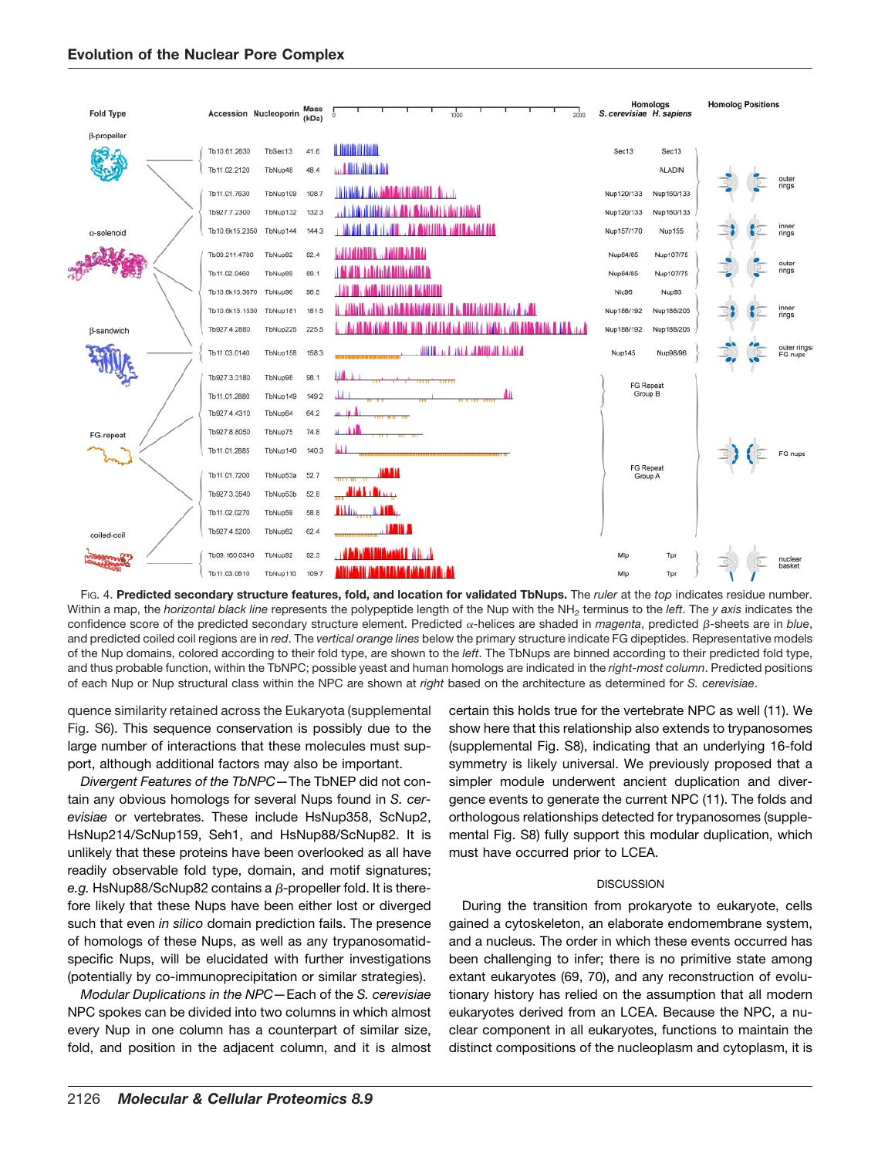



FIG. 4. **Predicted secondary structure features, fold, and location for validated TbNups.** The *ruler* at the *top* indicates residue number. Within a map, the *horizontal black line* represents the polypeptide length of the Nup with the NH<sub>2</sub> terminus to the *left*. The *y axis* indicates the confidence score of the predicted secondary structure element. Predicted a-helices are shaded in *magenta*, predicted  $\beta$ -sheets are in *blue*, and predicted coiled coil regions are in *red*. The *vertical orange lines* below the primary structure indicate FG dipeptides. Representative models of the Nup domains, colored according to their fold type, are shown to the *left*. The TbNups are binned according to their predicted fold type, and thus probable function, within the TbNPC; possible yeast and human homologs are indicated in the *right-most column*. Predicted positions of each Nup or Nup structural class within the NPC are shown at *right* based on the architecture as determined for *S. cerevisiae*.

quence similarity retained across the Eukaryota [\(supplemental](http://www.mcponline.org/cgi/content/full/M900038-MCP200/DC1) [Fig. S6\)](http://www.mcponline.org/cgi/content/full/M900038-MCP200/DC1). This sequence conservation is possibly due to the large number of interactions that these molecules must support, although additional factors may also be important.

*Divergent Features of the TbNPC—*The TbNEP did not contain any obvious homologs for several Nups found in *S. cerevisiae* or vertebrates. These include HsNup358, ScNup2, HsNup214/ScNup159, Seh1, and HsNup88/ScNup82. It is unlikely that these proteins have been overlooked as all have readily observable fold type, domain, and motif signatures;  $e.g.$  HsNup88/ScNup82 contains a  $\beta$ -propeller fold. It is therefore likely that these Nups have been either lost or diverged such that even *in silico* domain prediction fails. The presence of homologs of these Nups, as well as any trypanosomatidspecific Nups, will be elucidated with further investigations (potentially by co-immunoprecipitation or similar strategies).

*Modular Duplications in the NPC—*Each of the *S. cerevisiae* NPC spokes can be divided into two columns in which almost every Nup in one column has a counterpart of similar size, fold, and position in the adjacent column, and it is almost certain this holds true for the vertebrate NPC as well (11). We show here that this relationship also extends to trypanosomes [\(supplemental Fig. S8\)](http://www.mcponline.org/cgi/content/full/M900038-MCP200/DC1), indicating that an underlying 16-fold symmetry is likely universal. We previously proposed that a simpler module underwent ancient duplication and divergence events to generate the current NPC (11). The folds and orthologous relationships detected for trypanosomes [\(supple](http://www.mcponline.org/cgi/content/full/M900038-MCP200/DC1)[mental Fig. S8\)](http://www.mcponline.org/cgi/content/full/M900038-MCP200/DC1) fully support this modular duplication, which must have occurred prior to LCEA.

#### DISCUSSION

During the transition from prokaryote to eukaryote, cells gained a cytoskeleton, an elaborate endomembrane system, and a nucleus. The order in which these events occurred has been challenging to infer; there is no primitive state among extant eukaryotes (69, 70), and any reconstruction of evolutionary history has relied on the assumption that all modern eukaryotes derived from an LCEA. Because the NPC, a nuclear component in all eukaryotes, functions to maintain the distinct compositions of the nucleoplasm and cytoplasm, it is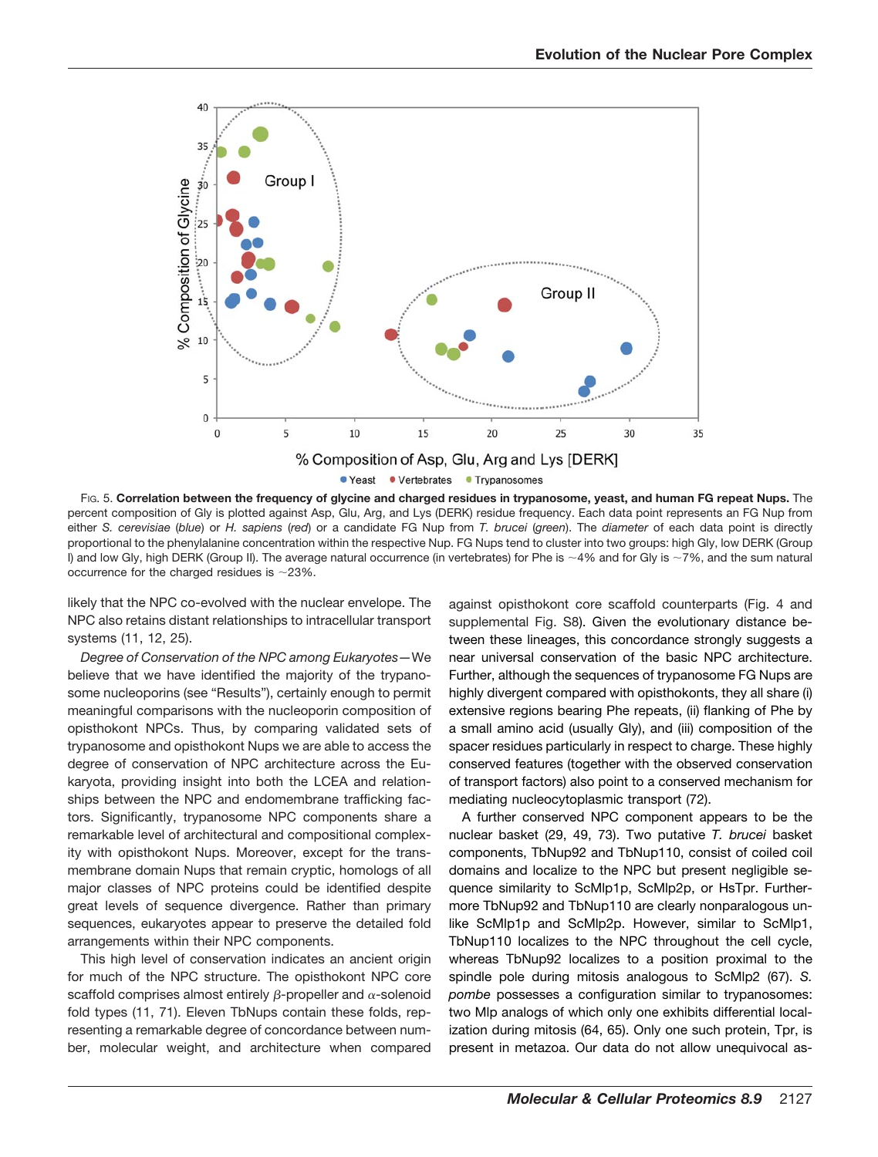

FIG. 5. **Correlation between the frequency of glycine and charged residues in trypanosome, yeast, and human FG repeat Nups.** The percent composition of Gly is plotted against Asp, Glu, Arg, and Lys (DERK) residue frequency. Each data point represents an FG Nup from either *S. cerevisiae* (*blue*) or *H. sapiens* (*red*) or a candidate FG Nup from *T. brucei* (*green*). The *diameter* of each data point is directly proportional to the phenylalanine concentration within the respective Nup. FG Nups tend to cluster into two groups: high Gly, low DERK (Group I) and low Gly, high DERK (Group II). The average natural occurrence (in vertebrates) for Phe is  $\sim$ 4% and for Gly is  $\sim$ 7%, and the sum natural occurrence for the charged residues is  $\sim$ 23%.

likely that the NPC co-evolved with the nuclear envelope. The NPC also retains distant relationships to intracellular transport systems (11, 12, 25).

*Degree of Conservation of the NPC among Eukaryotes—*We believe that we have identified the majority of the trypanosome nucleoporins (see "Results"), certainly enough to permit meaningful comparisons with the nucleoporin composition of opisthokont NPCs. Thus, by comparing validated sets of trypanosome and opisthokont Nups we are able to access the degree of conservation of NPC architecture across the Eukaryota, providing insight into both the LCEA and relationships between the NPC and endomembrane trafficking factors. Significantly, trypanosome NPC components share a remarkable level of architectural and compositional complexity with opisthokont Nups. Moreover, except for the transmembrane domain Nups that remain cryptic, homologs of all major classes of NPC proteins could be identified despite great levels of sequence divergence. Rather than primary sequences, eukaryotes appear to preserve the detailed fold arrangements within their NPC components.

This high level of conservation indicates an ancient origin for much of the NPC structure. The opisthokont NPC core scaffold comprises almost entirely  $\beta$ -propeller and  $\alpha$ -solenoid fold types (11, 71). Eleven TbNups contain these folds, representing a remarkable degree of concordance between number, molecular weight, and architecture when compared against opisthokont core scaffold counterparts (Fig. 4 and [supplemental Fig. S8\)](http://www.mcponline.org/cgi/content/full/M900038-MCP200/DC1). Given the evolutionary distance between these lineages, this concordance strongly suggests a near universal conservation of the basic NPC architecture. Further, although the sequences of trypanosome FG Nups are highly divergent compared with opisthokonts, they all share (i) extensive regions bearing Phe repeats, (ii) flanking of Phe by a small amino acid (usually Gly), and (iii) composition of the spacer residues particularly in respect to charge. These highly conserved features (together with the observed conservation of transport factors) also point to a conserved mechanism for mediating nucleocytoplasmic transport (72).

A further conserved NPC component appears to be the nuclear basket (29, 49, 73). Two putative *T. brucei* basket components, TbNup92 and TbNup110, consist of coiled coil domains and localize to the NPC but present negligible sequence similarity to ScMlp1p, ScMlp2p, or HsTpr. Furthermore TbNup92 and TbNup110 are clearly nonparalogous unlike ScMlp1p and ScMlp2p. However, similar to ScMlp1, TbNup110 localizes to the NPC throughout the cell cycle, whereas TbNup92 localizes to a position proximal to the spindle pole during mitosis analogous to ScMlp2 (67). *S. pombe* possesses a configuration similar to trypanosomes: two Mlp analogs of which only one exhibits differential localization during mitosis (64, 65). Only one such protein, Tpr, is present in metazoa. Our data do not allow unequivocal as-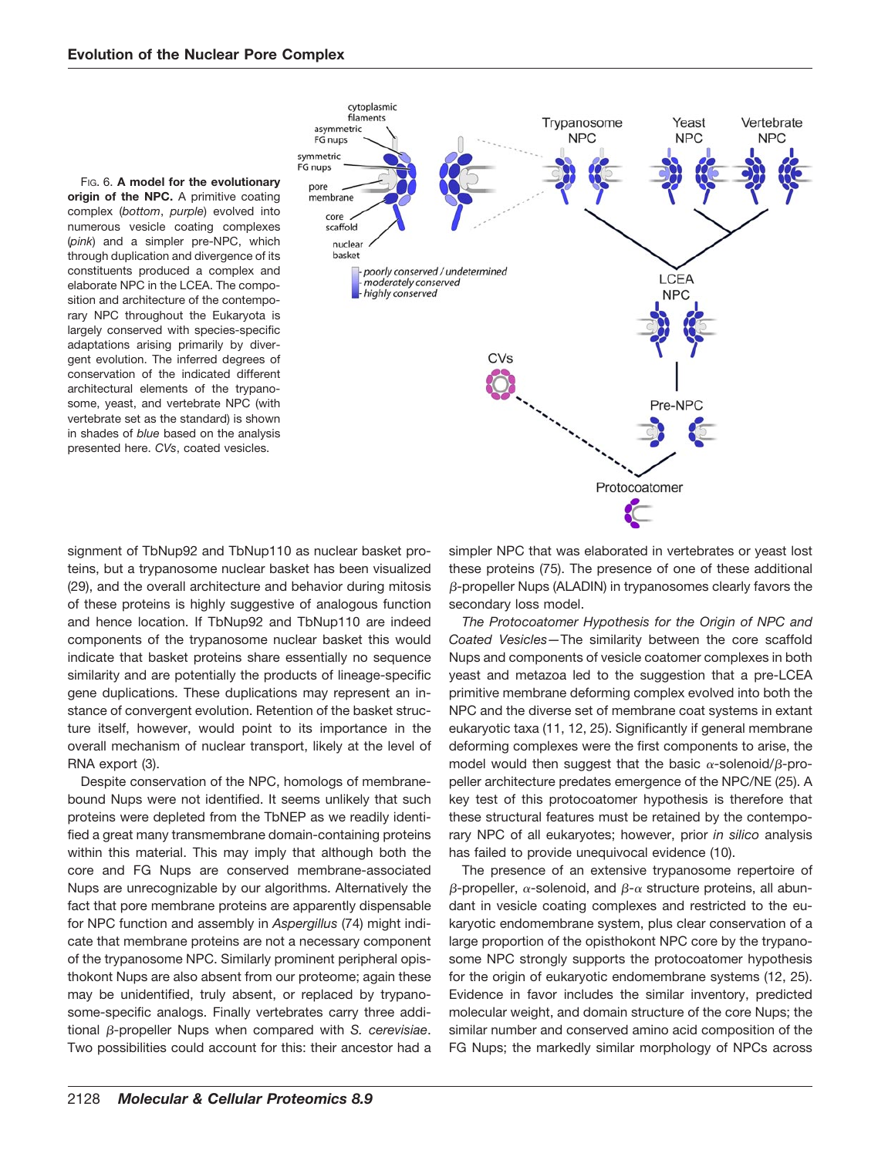



signment of TbNup92 and TbNup110 as nuclear basket proteins, but a trypanosome nuclear basket has been visualized (29), and the overall architecture and behavior during mitosis of these proteins is highly suggestive of analogous function and hence location. If TbNup92 and TbNup110 are indeed components of the trypanosome nuclear basket this would indicate that basket proteins share essentially no sequence similarity and are potentially the products of lineage-specific gene duplications. These duplications may represent an instance of convergent evolution. Retention of the basket structure itself, however, would point to its importance in the overall mechanism of nuclear transport, likely at the level of RNA export (3).

Despite conservation of the NPC, homologs of membranebound Nups were not identified. It seems unlikely that such proteins were depleted from the TbNEP as we readily identified a great many transmembrane domain-containing proteins within this material. This may imply that although both the core and FG Nups are conserved membrane-associated Nups are unrecognizable by our algorithms. Alternatively the fact that pore membrane proteins are apparently dispensable for NPC function and assembly in *Aspergillus* (74) might indicate that membrane proteins are not a necessary component of the trypanosome NPC. Similarly prominent peripheral opisthokont Nups are also absent from our proteome; again these may be unidentified, truly absent, or replaced by trypanosome-specific analogs. Finally vertebrates carry three additional β-propeller Nups when compared with *S. cerevisiae*. Two possibilities could account for this: their ancestor had a

simpler NPC that was elaborated in vertebrates or yeast lost these proteins (75). The presence of one of these additional  $\beta$ -propeller Nups (ALADIN) in trypanosomes clearly favors the secondary loss model.

*The Protocoatomer Hypothesis for the Origin of NPC and Coated Vesicles—*The similarity between the core scaffold Nups and components of vesicle coatomer complexes in both yeast and metazoa led to the suggestion that a pre-LCEA primitive membrane deforming complex evolved into both the NPC and the diverse set of membrane coat systems in extant eukaryotic taxa (11, 12, 25). Significantly if general membrane deforming complexes were the first components to arise, the model would then suggest that the basic  $\alpha$ -solenoid/ $\beta$ -propeller architecture predates emergence of the NPC/NE (25). A key test of this protocoatomer hypothesis is therefore that these structural features must be retained by the contemporary NPC of all eukaryotes; however, prior *in silico* analysis has failed to provide unequivocal evidence (10).

The presence of an extensive trypanosome repertoire of β-propeller, α-solenoid, and β-α structure proteins, all abundant in vesicle coating complexes and restricted to the eukaryotic endomembrane system, plus clear conservation of a large proportion of the opisthokont NPC core by the trypanosome NPC strongly supports the protocoatomer hypothesis for the origin of eukaryotic endomembrane systems (12, 25). Evidence in favor includes the similar inventory, predicted molecular weight, and domain structure of the core Nups; the similar number and conserved amino acid composition of the FG Nups; the markedly similar morphology of NPCs across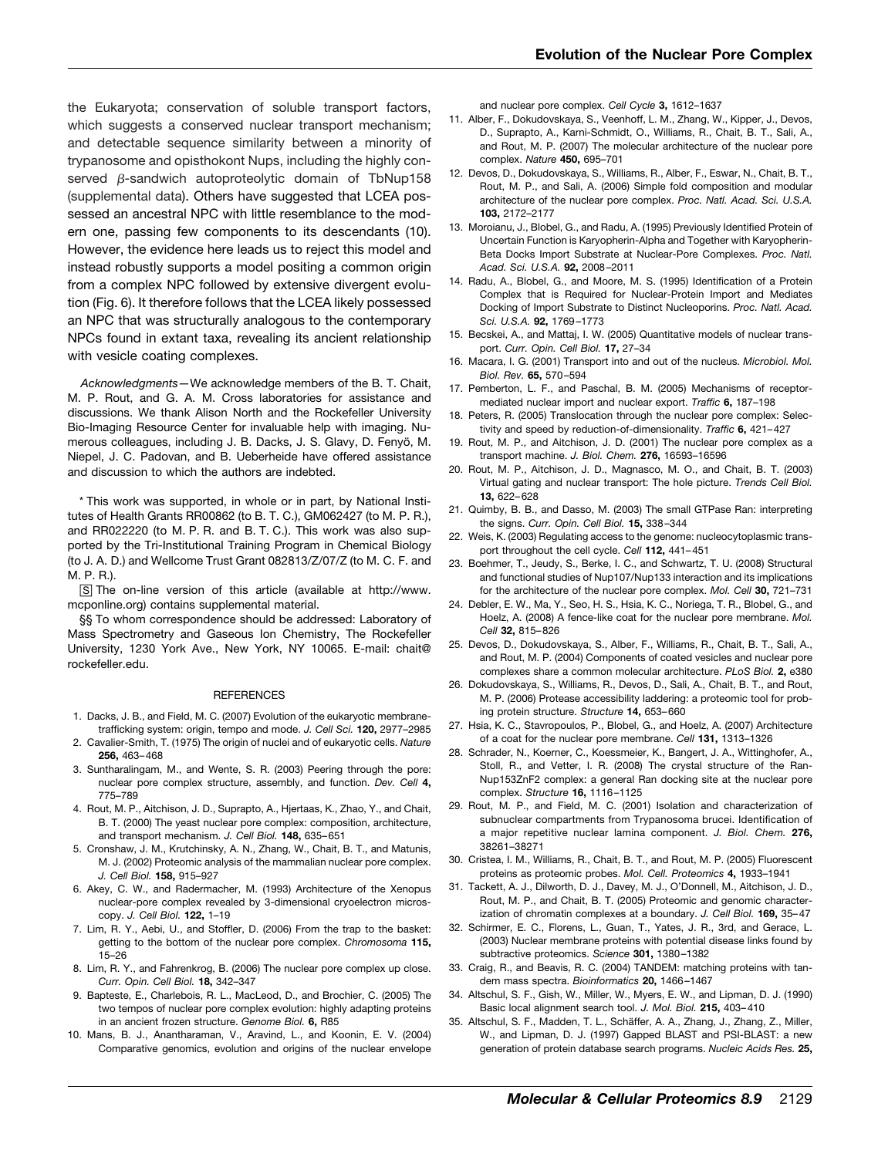the Eukaryota; conservation of soluble transport factors, which suggests a conserved nuclear transport mechanism; and detectable sequence similarity between a minority of trypanosome and opisthokont Nups, including the highly conserved  $\beta$ -sandwich autoproteolytic domain of TbNup158 [\(supplemental data\)](http://www.mcponline.org/cgi/content/full/M900038-MCP200/DC1). Others have suggested that LCEA possessed an ancestral NPC with little resemblance to the modern one, passing few components to its descendants (10). However, the evidence here leads us to reject this model and instead robustly supports a model positing a common origin from a complex NPC followed by extensive divergent evolution (Fig. 6). It therefore follows that the LCEA likely possessed an NPC that was structurally analogous to the contemporary NPCs found in extant taxa, revealing its ancient relationship with vesicle coating complexes.

*Acknowledgments—*We acknowledge members of the B. T. Chait, M. P. Rout, and G. A. M. Cross laboratories for assistance and discussions. We thank Alison North and the Rockefeller University Bio-Imaging Resource Center for invaluable help with imaging. Numerous colleagues, including J. B. Dacks, J. S. Glavy, D. Fenyö, M. Niepel, J. C. Padovan, and B. Ueberheide have offered assistance and discussion to which the authors are indebted.

\* This work was supported, in whole or in part, by National Institutes of Health Grants RR00862 (to B. T. C.), GM062427 (to M. P. R.), and RR022220 (to M. P. R. and B. T. C.). This work was also supported by the Tri-Institutional Training Program in Chemical Biology (to J. A. D.) and Wellcome Trust Grant 082813/Z/07/Z (to M. C. F. and M. P. R.).

□S The on-line version of this article (available at http://www. mcponline.org) contains [supplemental](http://www.mcponline.org/cgi/content/full/M900038-MCP200/DC1) material.

§§ To whom correspondence should be addressed: Laboratory of Mass Spectrometry and Gaseous Ion Chemistry, The Rockefeller University, 1230 York Ave., New York, NY 10065. E-mail: chait@ rockefeller.edu.

#### **REFERENCES**

- 1. Dacks, J. B., and Field, M. C. (2007) Evolution of the eukaryotic membranetrafficking system: origin, tempo and mode. *J. Cell Sci.* **120,** 2977–2985
- 2. Cavalier-Smith, T. (1975) The origin of nuclei and of eukaryotic cells. *Nature* **256,** 463– 468
- 3. Suntharalingam, M., and Wente, S. R. (2003) Peering through the pore: nuclear pore complex structure, assembly, and function. *Dev. Cell* **4,** 775–789
- 4. Rout, M. P., Aitchison, J. D., Suprapto, A., Hjertaas, K., Zhao, Y., and Chait, B. T. (2000) The yeast nuclear pore complex: composition, architecture, and transport mechanism. *J. Cell Biol.* **148,** 635– 651
- 5. Cronshaw, J. M., Krutchinsky, A. N., Zhang, W., Chait, B. T., and Matunis, M. J. (2002) Proteomic analysis of the mammalian nuclear pore complex. *J. Cell Biol.* **158,** 915–927
- 6. Akey, C. W., and Radermacher, M. (1993) Architecture of the Xenopus nuclear-pore complex revealed by 3-dimensional cryoelectron microscopy. *J. Cell Biol.* **122,** 1–19
- 7. Lim, R. Y., Aebi, U., and Stoffler, D. (2006) From the trap to the basket: getting to the bottom of the nuclear pore complex. *Chromosoma* **115,** 15–26
- 8. Lim, R. Y., and Fahrenkrog, B. (2006) The nuclear pore complex up close. *Curr. Opin. Cell Biol.* **18,** 342–347
- 9. Bapteste, E., Charlebois, R. L., MacLeod, D., and Brochier, C. (2005) The two tempos of nuclear pore complex evolution: highly adapting proteins in an ancient frozen structure. *Genome Biol.* **6,** R85
- 10. Mans, B. J., Anantharaman, V., Aravind, L., and Koonin, E. V. (2004) Comparative genomics, evolution and origins of the nuclear envelope

and nuclear pore complex. *Cell Cycle* **3,** 1612–1637

- 11. Alber, F., Dokudovskaya, S., Veenhoff, L. M., Zhang, W., Kipper, J., Devos, D., Suprapto, A., Karni-Schmidt, O., Williams, R., Chait, B. T., Sali, A., and Rout, M. P. (2007) The molecular architecture of the nuclear pore complex. *Nature* **450,** 695–701
- 12. Devos, D., Dokudovskaya, S., Williams, R., Alber, F., Eswar, N., Chait, B. T., Rout, M. P., and Sali, A. (2006) Simple fold composition and modular architecture of the nuclear pore complex. *Proc. Natl. Acad. Sci. U.S.A.* **103,** 2172–2177
- 13. Moroianu, J., Blobel, G., and Radu, A. (1995) Previously Identified Protein of Uncertain Function is Karyopherin-Alpha and Together with Karyopherin-Beta Docks Import Substrate at Nuclear-Pore Complexes. *Proc. Natl. Acad. Sci. U.S.A.* **92,** 2008 –2011
- 14. Radu, A., Blobel, G., and Moore, M. S. (1995) Identification of a Protein Complex that is Required for Nuclear-Protein Import and Mediates Docking of Import Substrate to Distinct Nucleoporins. *Proc. Natl. Acad. Sci. U.S.A.* **92,** 1769 –1773
- 15. Becskei, A., and Mattaj, I. W. (2005) Quantitative models of nuclear transport. *Curr. Opin. Cell Biol.* **17,** 27–34
- 16. Macara, I. G. (2001) Transport into and out of the nucleus. *Microbiol. Mol. Biol. Rev.* **65,** 570 –594
- 17. Pemberton, L. F., and Paschal, B. M. (2005) Mechanisms of receptormediated nuclear import and nuclear export. *Traffic* **6,** 187–198
- 18. Peters, R. (2005) Translocation through the nuclear pore complex: Selectivity and speed by reduction-of-dimensionality. *Traffic* **6,** 421– 427
- 19. Rout, M. P., and Aitchison, J. D. (2001) The nuclear pore complex as a transport machine. *J. Biol. Chem.* **276,** 16593–16596
- 20. Rout, M. P., Aitchison, J. D., Magnasco, M. O., and Chait, B. T. (2003) Virtual gating and nuclear transport: The hole picture. *Trends Cell Biol.* **13,** 622– 628
- 21. Quimby, B. B., and Dasso, M. (2003) The small GTPase Ran: interpreting the signs. *Curr. Opin. Cell Biol.* **15,** 338 –344
- 22. Weis, K. (2003) Regulating access to the genome: nucleocytoplasmic transport throughout the cell cycle. *Cell* **112,** 441– 451
- 23. Boehmer, T., Jeudy, S., Berke, I. C., and Schwartz, T. U. (2008) Structural and functional studies of Nup107/Nup133 interaction and its implications for the architecture of the nuclear pore complex. *Mol. Cell* **30,** 721–731
- 24. Debler, E. W., Ma, Y., Seo, H. S., Hsia, K. C., Noriega, T. R., Blobel, G., and Hoelz, A. (2008) A fence-like coat for the nuclear pore membrane. *Mol. Cell* **32,** 815– 826
- 25. Devos, D., Dokudovskaya, S., Alber, F., Williams, R., Chait, B. T., Sali, A., and Rout, M. P. (2004) Components of coated vesicles and nuclear pore complexes share a common molecular architecture. *PLoS Biol.* **2,** e380
- 26. Dokudovskaya, S., Williams, R., Devos, D., Sali, A., Chait, B. T., and Rout, M. P. (2006) Protease accessibility laddering: a proteomic tool for probing protein structure. *Structure* **14,** 653– 660
- 27. Hsia, K. C., Stavropoulos, P., Blobel, G., and Hoelz, A. (2007) Architecture of a coat for the nuclear pore membrane. *Cell* **131,** 1313–1326
- 28. Schrader, N., Koerner, C., Koessmeier, K., Bangert, J. A., Wittinghofer, A., Stoll, R., and Vetter, I. R. (2008) The crystal structure of the Ran-Nup153ZnF2 complex: a general Ran docking site at the nuclear pore complex. *Structure* **16,** 1116 –1125
- 29. Rout, M. P., and Field, M. C. (2001) Isolation and characterization of subnuclear compartments from Trypanosoma brucei. Identification of a major repetitive nuclear lamina component. *J. Biol. Chem.* **276,** 38261–38271
- 30. Cristea, I. M., Williams, R., Chait, B. T., and Rout, M. P. (2005) Fluorescent proteins as proteomic probes. *Mol. Cell. Proteomics* **4,** 1933–1941
- 31. Tackett, A. J., Dilworth, D. J., Davey, M. J., O'Donnell, M., Aitchison, J. D., Rout, M. P., and Chait, B. T. (2005) Proteomic and genomic characterization of chromatin complexes at a boundary. *J. Cell Biol.* **169,** 35– 47
- 32. Schirmer, E. C., Florens, L., Guan, T., Yates, J. R., 3rd, and Gerace, L. (2003) Nuclear membrane proteins with potential disease links found by subtractive proteomics. *Science* **301,** 1380 –1382
- 33. Craig, R., and Beavis, R. C. (2004) TANDEM: matching proteins with tandem mass spectra. *Bioinformatics* **20,** 1466 –1467
- 34. Altschul, S. F., Gish, W., Miller, W., Myers, E. W., and Lipman, D. J. (1990) Basic local alignment search tool. *J. Mol. Biol.* **215,** 403– 410
- 35. Altschul, S. F., Madden, T. L., Schäffer, A. A., Zhang, J., Zhang, Z., Miller, W., and Lipman, D. J. (1997) Gapped BLAST and PSI-BLAST: a new generation of protein database search programs. *Nucleic Acids Res.* **25,**